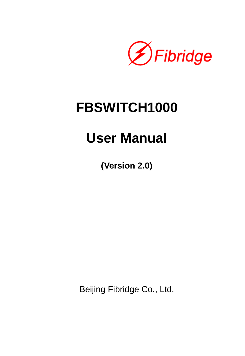

# **FBSWITCH1000**

# **User Manual**

**(Version 2.0)** 

Beijing Fibridge Co., Ltd.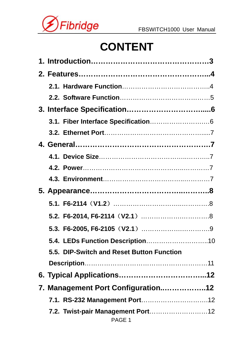

# **CONTENT**

| 5.4. LEDs Function Description10          |  |
|-------------------------------------------|--|
| 5.5. DIP-Switch and Reset Button Function |  |
|                                           |  |
|                                           |  |
| 7. Management Port Configuration12        |  |
|                                           |  |
| PAGE 1                                    |  |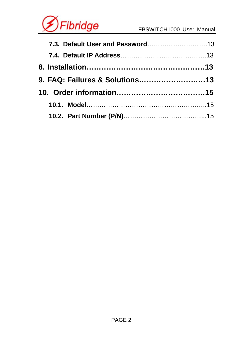

| 9. FAQ: Failures & Solutions13 |  |
|--------------------------------|--|
|                                |  |
|                                |  |
|                                |  |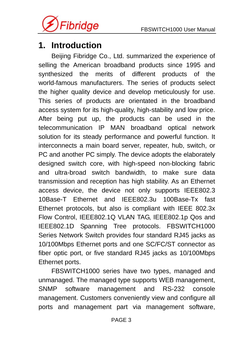<span id="page-3-0"></span>

# **1. Introduction**

Beijing Fibridge Co., Ltd. summarized the experience of selling the American broadband products since 1995 and synthesized the merits of different products of the world-famous manufacturers. The series of products select the higher quality device and develop meticulously for use. This series of products are orientated in the broadband access system for its high-quality, high-stability and low price. After being put up, the products can be used in the telecommunication IP MAN broadband optical network solution for its steady performance and powerful function. It interconnects a main board server, repeater, hub, switch, or PC and another PC simply. The device adopts the elaborately designed switch core, with high-speed non-blocking fabric and ultra-broad switch bandwidth, to make sure data transmission and reception has high stability. As an Ethernet access device, the device not only supports IEEE802.3 10Base-T Ethernet and IEEE802.3u 100Base-Tx fast Ethernet protocols, but also is compliant with IEEE 802.3x Flow Control, IEEE802.1Q VLAN TAG, IEEE802.1p Qos and IEEE802.1D Spanning Tree protocols. FBSWITCH1000 Series Network Switch provides four standard RJ45 jacks as 10/100Mbps Ethernet ports and one SC/FC/ST connector as fiber optic port, or five standard RJ45 jacks as 10/100Mbps Ethernet ports.

FBSWITCH1000 series have two types, managed and unmanaged. The managed type supports WEB management, SNMP software management and RS-232 console management. Customers conveniently view and configure all ports and management part via management software,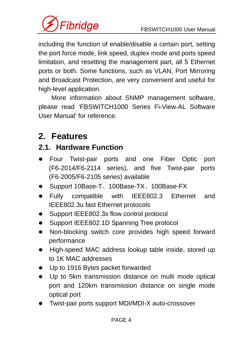<span id="page-4-0"></span>

including the function of enable/disable a certain port, setting the port force mode, link speed, duplex mode and ports speed limitation, and resetting the management part, all 5 Ethernet ports or both. Some functions, such as VLAN, Port Mirroring and Broadcast Protection, are very convenient and useful for high-level application.

More information about SNMP management software, please read 'FBSWITCH1000 Series Fi-View-AL Software User Manual' for reference.

# **2. Features**

# **2.1. Hardware Function**

- Four Twist-pair ports and one Fiber Optic port (F6-2014/F6-2114 series), and five Twist-pair ports (F6-2005/F6-2105 series) available
- z Support 10Base-T、100Base-TX、100Base-FX
- Fully compatible with IEEE802.3 Ethernet and IEEE802.3u fast Ethernet protocols
- Support IEEE802.3x flow control protocol
- Support IEEE802.1D Spanning Tree protocol
- Non-blocking switch core provides high speed forward performance
- High-speed MAC address lookup table inside, stored up to 1K MAC addresses
- Up to 1916 Bytes packet forwarded
- Up to 5km transmission distance on multi mode optical port and 120km transmission distance on single mode optical port
- Twist-pair ports support MDI/MDI-X auto-crossover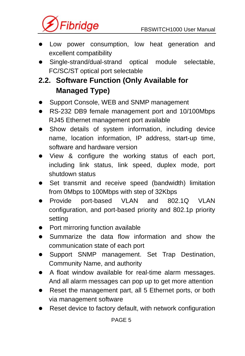<span id="page-5-0"></span>

- Low power consumption, low heat generation and excellent compatibility
- Single-strand/dual-strand optical module selectable, FC/SC/ST optical port selectable

# **2.2. Software Function (Only Available for Managed Type)**

- Support Console, WEB and SNMP management
- RS-232 DB9 female management port and 10/100Mbps RJ45 Ethernet management port available
- Show details of system information, including device name, location information, IP address, start-up time, software and hardware version
- View & configure the working status of each port, including link status, link speed, duplex mode, port shutdown status
- Set transmit and receive speed (bandwidth) limitation from 0Mbps to 100Mbps with step of 32Kbps
- Provide port-based VLAN and 802.1Q VLAN configuration, and port-based priority and 802.1p priority setting
- Port mirroring function available
- $\bullet$  Summarize the data flow information and show the communication state of each port
- Support SNMP management. Set Trap Destination, Community Name, and authority
- A float window available for real-time alarm messages. And all alarm messages can pop up to get more attention
- Reset the management part, all 5 Ethernet ports, or both via management software
- Reset device to factory default, with network configuration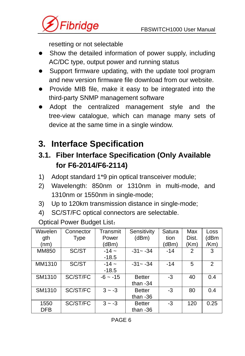<span id="page-6-0"></span>

resetting or not selectable

- Show the detailed information of power supply, including AC/DC type, output power and running status
- Support firmware updating, with the update tool program and new version firmware file download from our website.
- Provide MIB file, make it easy to be integrated into the third-party SNMP management software
- Adopt the centralized management style and the tree-view catalogue, which can manage many sets of device at the same time in a single window.

# **3. Interface Specification**

# **3.1. Fiber Interface Specification (Only Available for F6-2014/F6-2114)**

- 1) Adopt standard 1\*9 pin optical transceiver module;
- 2) Wavelength: 850nm or 1310nm in multi-mode, and 1310nm or 1550nm in single-mode;
- 3) Up to 120km transmission distance in single-mode;
- 4) SC/ST/FC optical connectors are selectable.

Optical Power Budget List:

| Wavelen    | Connector   | Transmit     | Sensitivity   | Satura | Max           | Loss |
|------------|-------------|--------------|---------------|--------|---------------|------|
| ath        | <b>Type</b> | Power        | (dBm)         | tion   | Dist.         | (dBm |
| (nm)       |             | (dBm)        |               | (dBm)  | (Km)          | /Km) |
| MM850      | SC/ST       | $-14 -$      | $-31 - -34$   | $-14$  | $\mathcal{P}$ | 3    |
|            |             | $-18.5$      |               |        |               |      |
| MM1310     | SC/ST       | $-14 -$      | $-31 - -34$   | $-14$  | 5             | 2    |
|            |             | $-18.5$      |               |        |               |      |
| SM1310     | SC/ST/FC    | $-6$ ~ $-15$ | <b>Better</b> | $-3$   | 40            | 0.4  |
|            |             |              | than $-34$    |        |               |      |
| SM1310     | SC/ST/FC    | $3 - -3$     | <b>Better</b> | -3     | 80            | 0.4  |
|            |             |              | than $-36$    |        |               |      |
| 1550       | SC/ST/FC    | $3 - -3$     | <b>Better</b> | -3     | 120           | 0.25 |
| <b>DFB</b> |             |              | than $-36$    |        |               |      |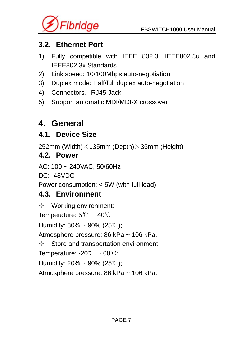<span id="page-7-0"></span>

### **3.2. Ethernet Port**

- 1) Fully compatible with IEEE 802.3, IEEE802.3u and IEEE802.3x Standards
- 2) Link speed: 10/100Mbps auto-negotiation
- 3) Duplex mode: Half/full duplex auto-negotiation
- 4) Connectors: RJ45 Jack
- 5) Support automatic MDI/MDI-X crossover

# **4. General**

### **4.1. Device Size**

252mm (Width) $\times$ 135mm (Depth) $\times$ 36mm (Height)

### **4.2. Power**

AC: 100 ~ 240VAC, 50/60Hz

DC: -48VDC

Power consumption: < 5W (with full load)

### **4.3. Environment**

 $\Diamond$  Working environment: Temperature:  $5^{\circ}\text{C} \sim 40^{\circ}\text{C}$ ; Humidity:  $30\% \sim 90\%$  (25°C); Atmosphere pressure: 86 kPa ~ 106 kPa.  $\diamond$  Store and transportation environment: Temperature:  $-20^{\circ}\text{C} \sim 60^{\circ}\text{C}$ ; Humidity:  $20\% \sim 90\%$  (25°C); Atmosphere pressure: 86 kPa ~ 106 kPa.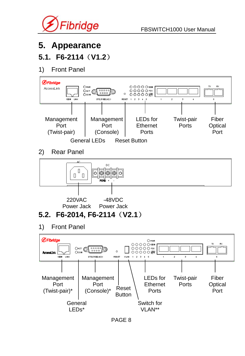<span id="page-8-0"></span>

# **5. Appearance**

### **5.1. F6-2114**(**V1.2**)

#### 1) Front Panel



1) Front Panel

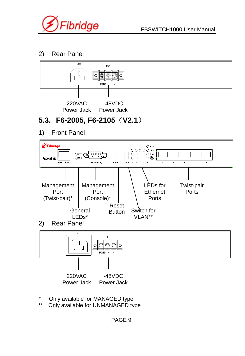<span id="page-9-0"></span>

#### 2) Rear Panel



# **5.3. F6-2005, F6-2105**(**V2.1**)

1) Front Panel



- \* Only available for MANAGED type
- Only available for UNMANAGED type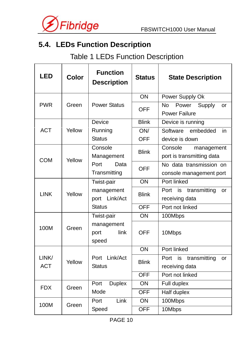<span id="page-10-0"></span>

# **5.4. LEDs Function Description**

# Table 1 LEDs Function Description

| LED                 | Color  | <b>Function</b><br><b>Description</b> | <b>Status</b>     | <b>State Description</b>                           |
|---------------------|--------|---------------------------------------|-------------------|----------------------------------------------------|
|                     |        |                                       | ON                | Power Supply Ok                                    |
| <b>PWR</b>          | Green  | <b>Power Status</b>                   | OFF               | Power<br>Supply<br>No<br>or<br>Power Failure       |
|                     |        | Device                                | <b>Blink</b>      | Device is running                                  |
| <b>ACT</b>          | Yellow | Running<br><b>Status</b>              | ON/<br><b>OFF</b> | embedded<br>Software<br>in<br>device is down       |
| <b>COM</b>          | Yellow | Console<br>Management                 | <b>Blink</b>      | Console<br>management<br>port is transmitting data |
|                     |        | Port<br>Data<br>Transmitting          | <b>OFF</b>        | No data transmission on<br>console management port |
| <b>LINK</b>         | Yellow | Twist-pair                            | ON                | Port linked                                        |
|                     |        | management<br>port Link/Act           | <b>Blink</b>      | Port is<br>transmitting<br>or<br>receiving data    |
|                     |        | <b>Status</b>                         | OFF               | Port not linked                                    |
| 100M                | Green  | Twist-pair                            | ON                | 100Mbps                                            |
|                     |        | management<br>link<br>port<br>speed   | OFF               | 10Mbps                                             |
| LINK/<br><b>ACT</b> | Yellow | Port Link/Act<br><b>Status</b>        | ON                | Port linked                                        |
|                     |        |                                       | Blink             | Port is<br>transmitting<br>or<br>receiving data    |
|                     |        |                                       | <b>OFF</b>        | Port not linked                                    |
| <b>FDX</b>          | Green  | Port<br><b>Duplex</b>                 | ON                | Full duplex                                        |
|                     |        | Mode                                  | <b>OFF</b>        | Half duplex                                        |
| 100M                | Green  | Link<br>Port                          | ON                | 100Mbps                                            |
|                     |        | Speed                                 | <b>OFF</b>        | 10Mbps                                             |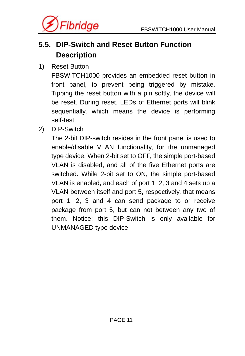<span id="page-11-0"></span>

# **5.5. DIP-Switch and Reset Button Function Description**

1) Reset Button

FBSWITCH1000 provides an embedded reset button in front panel, to prevent being triggered by mistake. Tipping the reset button with a pin softly, the device will be reset. During reset, LEDs of Ethernet ports will blink sequentially, which means the device is performing self-test.

2) DIP-Switch

The 2-bit DIP-switch resides in the front panel is used to enable/disable VLAN functionality, for the unmanaged type device. When 2-bit set to OFF, the simple port-based VLAN is disabled, and all of the five Ethernet ports are switched. While 2-bit set to ON, the simple port-based VLAN is enabled, and each of port 1, 2, 3 and 4 sets up a VLAN between itself and port 5, respectively, that means port 1, 2, 3 and 4 can send package to or receive package from port 5, but can not between any two of them. Notice: this DIP-Switch is only available for UNMANAGED type device.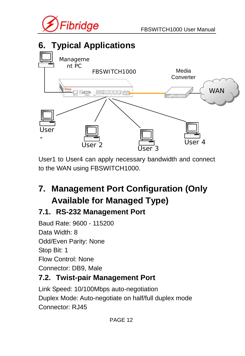<span id="page-12-0"></span>



User1 to User4 can apply necessary bandwidth and connect to the WAN using FBSWITCH1000.

# **7. Management Port Configuration (Only Available for Managed Type)**

# **7.1. RS-232 Management Port**

Baud Rate: 9600 - 115200 Data Width: 8 Odd/Even Parity: None Stop Bit: 1 Flow Control: None Connector: DB9, Male

# **7.2. Twist-pair Management Port**

Link Speed: 10/100Mbps auto-negotiation Duplex Mode: Auto-negotiate on half/full duplex mode Connector: RJ45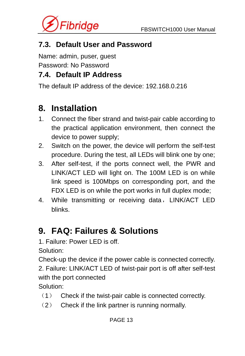<span id="page-13-0"></span>

### **7.3. Default User and Password**

Name: admin, puser, guest

Password: No Password

### **7.4. Default IP Address**

The default IP address of the device: 192.168.0.216

# **8. Installation**

- 1. Connect the fiber strand and twist-pair cable according to the practical application environment, then connect the device to power supply;
- 2. Switch on the power, the device will perform the self-test procedure. During the test, all LEDs will blink one by one;
- 3. After self-test, if the ports connect well, the PWR and LINK/ACT LED will light on. The 100M LED is on while link speed is 100Mbps on corresponding port, and the FDX LED is on while the port works in full duplex mode;
- 4. While transmitting or receiving data, LINK/ACT LED blinks.

# **9. FAQ: Failures & Solutions**

1. Failure: Power LED is off.

Solution:

Check-up the device if the power cable is connected correctly. 2. Failure: LINK/ACT LED of twist-pair port is off after self-test with the port connected

Solution:

- (1) Check if the twist-pair cable is connected correctly.
- (2) Check if the link partner is running normally.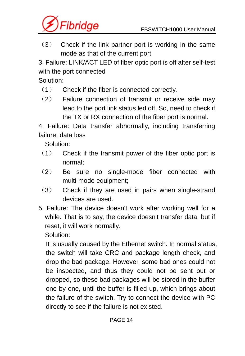

(3) Check if the link partner port is working in the same mode as that of the current port

3. Failure: LINK/ACT LED of fiber optic port is off after self-test with the port connected

Solution:

- (1) Check if the fiber is connected correctly.
- (2) Failure connection of transmit or receive side may lead to the port link status led off. So, need to check if the TX or RX connection of the fiber port is normal.

4. Failure: Data transfer abnormally, including transferring failure, data loss

Solution:

- (1) Check if the transmit power of the fiber optic port is normal;
- (2) Be sure no single-mode fiber connected with multi-mode equipment;
- (3) Check if they are used in pairs when single-strand devices are used.
- 5. Failure: The device doesn't work after working well for a while. That is to say, the device doesn't transfer data, but if reset, it will work normally.

Solution:

It is usually caused by the Ethernet switch. In normal status, the switch will take CRC and package length check, and drop the bad package. However, some bad ones could not be inspected, and thus they could not be sent out or dropped, so these bad packages will be stored in the buffer one by one, until the buffer is filled up, which brings about the failure of the switch. Try to connect the device with PC directly to see if the failure is not existed.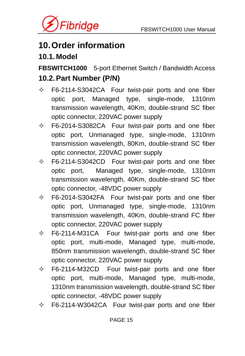<span id="page-15-0"></span>

# **10. Order information**

### **10.1. Model**

**FBSWITCH1000** 5-port Ethernet Switch / Bandwidth Access **10.2. Part Number (P/N)** 

- $\div$  F6-2114-S3042CA Four twist-pair ports and one fiber optic port, Managed type, single-mode, 1310nm transmission wavelength, 40Km, double-strand SC fiber optic connector, 220VAC power supply
- $\div$  F6-2014-S3082CA Four twist-pair ports and one fiber optic port, Unmanaged type, single-mode, 1310nm transmission wavelength, 80Km, double-strand SC fiber optic connector, 220VAC power supply
- $\div$  F6-2114-S3042CD Four twist-pair ports and one fiber optic port, Managed type, single-mode, 1310nm transmission wavelength, 40Km, double-strand SC fiber optic connector, -48VDC power supply
- $\div$  F6-2014-S3042FA Four twist-pair ports and one fiber optic port, Unmanaged type, single-mode, 1310nm transmission wavelength, 40Km, double-strand FC fiber optic connector, 220VAC power supply
- $\div$  F6-2114-M31CA Four twist-pair ports and one fiber optic port, multi-mode, Managed type, multi-mode, 850nm transmission wavelength, double-strand SC fiber optic connector, 220VAC power supply
- $\div$  F6-2114-M32CD Four twist-pair ports and one fiber optic port, multi-mode, Managed type, multi-mode, 1310nm transmission wavelength, double-strand SC fiber optic connector, -48VDC power supply
- $\div$  F6-2114-W3042CA Four twist-pair ports and one fiber